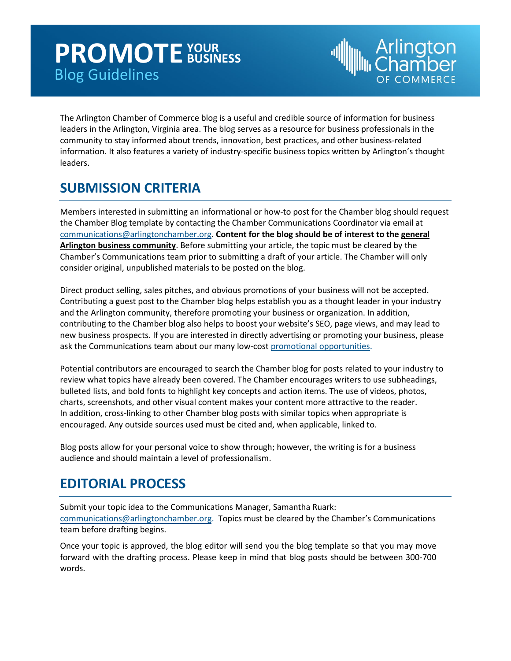## **PROMOTE** FOUR Blog Guidelines **BUSINESS**



The Arlington Chamber of Commerce blog is a useful and credible source of information for business leaders in the Arlington, Virginia area. The blog serves as a resource for business professionals in the community to stay informed about trends, innovation, best practices, and other business‐related information. It also features a variety of industry‐specific business topics written by Arlington's thought leaders.

## **SUBMISSION CRITERIA**

Members interested in submitting an informational or how-to post for the Chamber blog should request the Chamber Blog template by contacting the Chamber Communications Coordinator via email at [communications@arlingtonchamber.org.](mailto:communications@arlingtonchamber.org) **Content for the blog should be of interest to the general Arlington business community**. Before submitting your article, the topic must be cleared by the Chamber's Communications team prior to submitting a draft of your article. The Chamber will only consider original, unpublished materials to be posted on the blog.

Direct product selling, sales pitches, and obvious promotions of your business will not be accepted. Contributing a guest post to the Chamber blog helps establish you as a thought leader in your industry and the Arlington community, therefore promoting your business or organization. In addition, contributing to the Chamber blog also helps to boost your website's SEO, page views, and may lead to new business prospects. If you are interested in directly advertising or promoting your business, please ask the Communications team about our many low-cost [promotional opportunities.](https://www.arlingtonchamber.org/promotional_opportunities.html)

Potential contributors are encouraged to search the Chamber blog for posts related to your industry to review what topics have already been covered. The Chamber encourages writers to use subheadings, bulleted lists, and bold fonts to highlight key concepts and action items. The use of videos, photos, charts, screenshots, and other visual content makes your content more attractive to the reader. In addition, cross‐linking to other Chamber blog posts with similar topics when appropriate is encouraged. Any outside sources used must be cited and, when applicable, linked to.

Blog posts allow for your personal voice to show through; however, the writing is for a business audience and should maintain a level of professionalism.

## **EDITORIAL PROCESS**

Submit your topic idea to the Communications Manager, Samantha Ruark: [communications@arlingtonchamber.org.](mailto:communications@arlingtonchamber.org) Topics must be cleared by the Chamber's Communications team before drafting begins.

Once your topic is approved, the blog editor will send you the blog template so that you may move forward with the drafting process. Please keep in mind that blog posts should be between 300‐700 words.